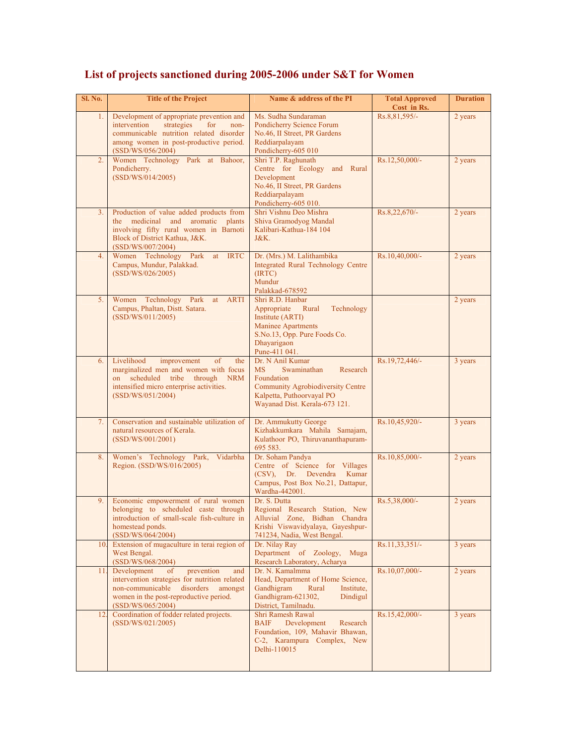| Sl. No.        | <b>Title of the Project</b>                                                                                                                                                                        | Name & address of the PI                                                                                                                                                  | <b>Total Approved</b><br>Cost in Rs. | <b>Duration</b> |
|----------------|----------------------------------------------------------------------------------------------------------------------------------------------------------------------------------------------------|---------------------------------------------------------------------------------------------------------------------------------------------------------------------------|--------------------------------------|-----------------|
| 1.             | Development of appropriate prevention and<br>intervention<br>strategies<br>for<br>non-<br>communicable nutrition related disorder<br>among women in post-productive period.<br>(SSD/WS/056/2004)   | Ms. Sudha Sundaraman<br>Pondicherry Science Forum<br>No.46, II Street, PR Gardens<br>Reddiarpalayam<br>Pondicherry-605 010                                                | Rs.8,81,595/-                        | 2 years         |
| 2.             | Women Technology Park at Bahoor,<br>Pondicherry.<br>(SSD/WS/014/2005)                                                                                                                              | Shri T.P. Raghunath<br>Centre for Ecology and Rural<br>Development<br>No.46, II Street, PR Gardens<br>Reddiarpalayam<br>Pondicherry-605 010.                              | Rs.12,50,000/-                       | 2 years         |
| 3 <sub>1</sub> | Production of value added products from<br>the medicinal and aromatic<br>plants<br>involving fifty rural women in Barnoti<br>Block of District Kathua, J&K.<br>(SSD/WS/007/2004)                   | Shri Vishnu Deo Mishra<br>Shiva Gramodyog Mandal<br>Kalibari-Kathua-184 104<br>J&K.                                                                                       | Rs.8,22,670/-                        | 2 years         |
| 4.             | Women Technology Park<br><b>IRTC</b><br>at<br>Campus, Mundur, Palakkad.<br>(SSD/WS/026/2005)                                                                                                       | Dr. (Mrs.) M. Lalithambika<br><b>Integrated Rural Technology Centre</b><br>(IRTC)<br>Mundur<br>Palakkad-678592                                                            | Rs.10,40,000/-                       | 2 years         |
| 5.             | Women Technology Park<br><b>ARTI</b><br>at<br>Campus, Phaltan, Distt. Satara.<br>(SSD/WS/011/2005)                                                                                                 | Shri R.D. Hanbar<br>Appropriate<br>Rural<br>Technology<br>Institute (ARTI)<br><b>Maninee Apartments</b><br>S.No.13, Opp. Pure Foods Co.<br>Dhayarigaon<br>Pune-411 041.   |                                      | 2 years         |
| 6.             | Livelihood<br>improvement<br>the<br>of<br>marginalized men and women with focus<br>on scheduled tribe through NRM<br>intensified micro enterprise activities.<br>(SSD/WS/051/2004)                 | Dr. N Anil Kumar<br>MS<br>Swaminathan<br>Research<br>Foundation<br><b>Community Agrobiodiversity Centre</b><br>Kalpetta, Puthoorvayal PO<br>Wayanad Dist. Kerala-673 121. | Rs.19,72,446/-                       | 3 years         |
| 7.             | Conservation and sustainable utilization of<br>natural resources of Kerala.<br>(SSD/WS/001/2001)                                                                                                   | Dr. Ammukutty George<br>Kizhakkumkara Mahila Samajam,<br>Kulathoor PO, Thiruvananthapuram-<br>695 583.                                                                    | Rs.10,45,920/-                       | 3 years         |
| 8.             | Women's Technology Park,<br>Vidarbha<br>Region. (SSD/WS/016/2005)                                                                                                                                  | Dr. Soham Pandya<br>Centre of Science for Villages<br>(CSV), Dr. Devendra<br>Kumar<br>Campus, Post Box No.21, Dattapur,<br>Wardha-442001.                                 | Rs.10,85,000/-                       | 2 years         |
| 9.             | Economic empowerment of rural women<br>belonging to scheduled caste through<br>introduction of small-scale fish-culture in<br>homestead ponds.<br>(SSD/WS/064/2004)                                | Dr. S. Dutta<br>Regional Research Station, New<br>Alluvial Zone, Bidhan Chandra<br>Krishi Viswavidyalaya, Gayeshpur-<br>741234, Nadia, West Bengal.                       | Rs.5,38,000/-                        | 2 years         |
| 10.            | Extension of mugaculture in terai region of<br>West Bengal.<br>(SSD/WS/068/2004)                                                                                                                   | Dr. Nilay Ray<br>Department of Zoology,<br>Muga<br>Research Laboratory, Acharya                                                                                           | Rs.11,33,351/-                       | 3 years         |
| 11.            | Development<br>prevention<br>of<br>and<br>intervention strategies for nutrition related<br>non-communicable<br>disorders<br>amongst<br>women in the post-reproductive period.<br>(SSD/WS/065/2004) | Dr. N. Kamalmma<br>Head, Department of Home Science,<br>Gandhigram<br>Rural<br>Institute,<br>Gandhigram-621302,<br>Dindigul<br>District, Tamilnadu.                       | Rs.10,07,000/-                       | 2 years         |
| 12.            | Coordination of fodder related projects.<br>(SSD/WS/021/2005)                                                                                                                                      | Shri Ramesh Rawal<br><b>BAIF</b><br>Development<br>Research<br>Foundation, 109, Mahavir Bhawan,<br>C-2, Karampura Complex, New<br>Delhi-110015                            | Rs.15,42,000/-                       | 3 years         |

## **List of projects sanctioned during 2005-2006 under S&T for Women**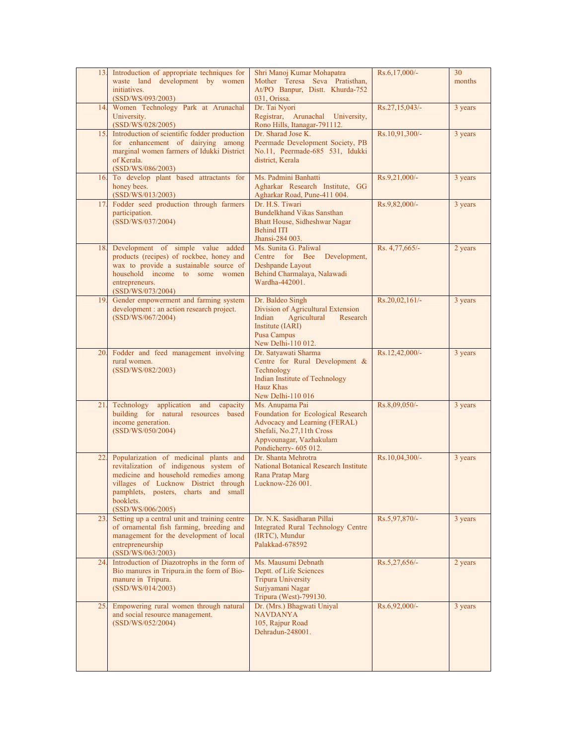| 13. | Introduction of appropriate techniques for<br>waste land development by women<br>initiatives.<br>(SSD/WS/093/2003)                                                                                                                          | Shri Manoj Kumar Mohapatra<br>Mother Teresa Seva Pratisthan,<br>At/PO Banpur, Distt. Khurda-752<br>031, Orissa.                                                         | Rs.6,17,000/-    | 30<br>months |
|-----|---------------------------------------------------------------------------------------------------------------------------------------------------------------------------------------------------------------------------------------------|-------------------------------------------------------------------------------------------------------------------------------------------------------------------------|------------------|--------------|
| 14. | Women Technology Park at Arunachal<br>University.<br>(SSD/WS/028/2005)                                                                                                                                                                      | Dr. Tai Nyori<br>Registrar, Arunachal University,<br>Rono Hills, Itanagar-791112.                                                                                       | Rs.27,15,043/-   | 3 years      |
| 15. | Introduction of scientific fodder production<br>for enhancement of dairying among<br>marginal women farmers of Idukki District<br>of Kerala.<br>(SSD/WS/086/2003)                                                                           | Dr. Sharad Jose K.<br>Peermade Development Society, PB<br>No.11, Peermade-685 531, Idukki<br>district, Kerala                                                           | Rs.10,91,300/-   | 3 years      |
|     | 16. To develop plant based attractants for<br>honey bees.<br>(SSD/WS/013/2003)                                                                                                                                                              | Ms. Padmini Banhatti<br>Agharkar Research Institute, GG<br>Agharkar Road, Pune-411 004.                                                                                 | Rs.9,21,000/-    | 3 years      |
| 17  | Fodder seed production through farmers<br>participation.<br>(SSD/WS/037/2004)                                                                                                                                                               | Dr. H.S. Tiwari<br><b>Bundelkhand Vikas Sansthan</b><br>Bhatt House, Sidheshwar Nagar<br><b>Behind ITI</b><br>Jhansi-284 003.                                           | Rs.9,82,000/-    | 3 years      |
| 18. | Development of simple value added<br>products (recipes) of rockbee, honey and<br>wax to provide a sustainable source of<br>household income to some women<br>entrepreneurs.<br>(SSD/WS/073/2004)                                            | Ms. Sunita G. Paliwal<br>Centre for Bee Development,<br>Deshpande Layout<br>Behind Charmalaya, Nalawadi<br>Wardha-442001.                                               | Rs. 4,77,665/-   | 2 years      |
| 19. | Gender empowerment and farming system<br>development : an action research project.<br>(SSD/WS/067/2004)                                                                                                                                     | Dr. Baldeo Singh<br>Division of Agricultural Extension<br>Indian<br>Agricultural<br>Research<br>Institute (IARI)<br>Pusa Campus<br>New Delhi-110 012.                   | $Rs.20,02,161/-$ | 3 years      |
| 20. | Fodder and feed management involving<br>rural women.<br>(SSD/WS/082/2003)                                                                                                                                                                   | Dr. Satyawati Sharma<br>Centre for Rural Development &<br>Technology<br>Indian Institute of Technology<br><b>Hauz Khas</b><br>New Delhi-110 016                         | Rs.12,42,000/-   | 3 years      |
| 21. | Technology<br>application and<br>capacity<br>building for natural resources based<br>income generation.<br>(SSD/WS/050/2004)                                                                                                                | Ms. Anupama Pai<br>Foundation for Ecological Research<br>Advocacy and Learning (FERAL)<br>Shefali, No.27,11th Cross<br>Appvounagar, Vazhakulam<br>Pondicherry- 605 012. | Rs.8,09,050/-    | 3 years      |
| 22. | Popularization of medicinal plants and<br>revitalization of indigenous system of<br>medicine and household remedies among<br>villages of Lucknow District through<br>pamphlets, posters, charts and small<br>booklets.<br>(SSD/WS/006/2005) | Dr. Shanta Mehrotra<br><b>National Botanical Research Institute</b><br>Rana Pratap Marg<br>Lucknow-226 001.                                                             | Rs.10,04,300/-   | 3 years      |
| 23. | Setting up a central unit and training centre<br>of ornamental fish farming, breeding and<br>management for the development of local<br>entrepreneurship<br>(SSD/WS/063/2003)                                                               | Dr. N.K. Sasidharan Pillai<br>Integrated Rural Technology Centre<br>(IRTC), Mundur<br>Palakkad-678592                                                                   | Rs.5,97,870/-    | 3 years      |
| 24. | Introduction of Diazotrophs in the form of<br>Bio manures in Tripura.in the form of Bio-<br>manure in Tripura.<br>(SSD/WS/014/2003)                                                                                                         | Ms. Mausumi Debnath<br>Deptt. of Life Sciences<br><b>Tripura University</b><br>Surjyamani Nagar<br>Tripura (West)-799130.                                               | Rs.5,27,656/-    | 2 years      |
| 25. | Empowering rural women through natural<br>and social resource management.<br>(SSD/WS/052/2004)                                                                                                                                              | Dr. (Mrs.) Bhagwati Uniyal<br><b>NAVDANYA</b><br>105, Rajpur Road<br>Dehradun-248001.                                                                                   | Rs.6,92,000/-    | 3 years      |